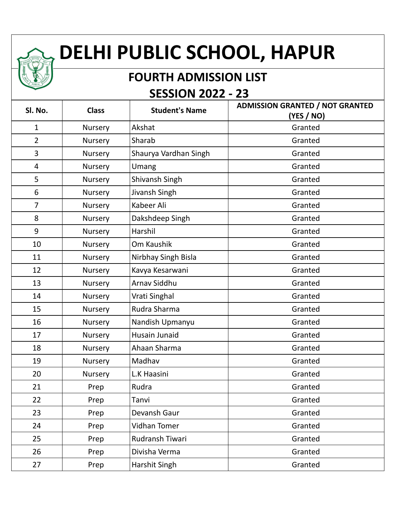## **DELHI PUBLIC SCHOOL, HAPUR**

## **FOURTH ADMISSION LIST SESSION 2022 - 23**

| Sl. No.        | <b>Class</b> | <b>Student's Name</b> | <b>ADMISSION GRANTED / NOT GRANTED</b><br>(YES / NO) |
|----------------|--------------|-----------------------|------------------------------------------------------|
| 1              | Nursery      | Akshat                | Granted                                              |
| $\overline{2}$ | Nursery      | Sharab                | Granted                                              |
| 3              | Nursery      | Shaurya Vardhan Singh | Granted                                              |
| $\overline{4}$ | Nursery      | Umang                 | Granted                                              |
| 5              | Nursery      | Shivansh Singh        | Granted                                              |
| 6              | Nursery      | Jivansh Singh         | Granted                                              |
| $\overline{7}$ | Nursery      | Kabeer Ali            | Granted                                              |
| 8              | Nursery      | Dakshdeep Singh       | Granted                                              |
| 9              | Nursery      | Harshil               | Granted                                              |
| 10             | Nursery      | Om Kaushik            | Granted                                              |
| 11             | Nursery      | Nirbhay Singh Bisla   | Granted                                              |
| 12             | Nursery      | Kavya Kesarwani       | Granted                                              |
| 13             | Nursery      | Arnav Siddhu          | Granted                                              |
| 14             | Nursery      | Vrati Singhal         | Granted                                              |
| 15             | Nursery      | Rudra Sharma          | Granted                                              |
| 16             | Nursery      | Nandish Upmanyu       | Granted                                              |
| 17             | Nursery      | Husain Junaid         | Granted                                              |
| 18             | Nursery      | Ahaan Sharma          | Granted                                              |
| 19             | Nursery      | Madhav                | Granted                                              |
| 20             | Nursery      | L.K Haasini           | Granted                                              |
| 21             | Prep         | Rudra                 | Granted                                              |
| 22             | Prep         | Tanvi                 | Granted                                              |
| 23             | Prep         | Devansh Gaur          | Granted                                              |
| 24             | Prep         | Vidhan Tomer          | Granted                                              |
| 25             | Prep         | Rudransh Tiwari       | Granted                                              |
| 26             | Prep         | Divisha Verma         | Granted                                              |
| 27             | Prep         | Harshit Singh         | Granted                                              |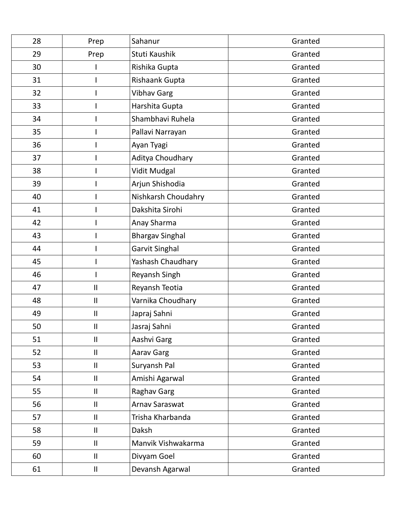| 28 | Prep                       | Sahanur                | Granted |
|----|----------------------------|------------------------|---------|
| 29 | Prep                       | Stuti Kaushik          | Granted |
| 30 |                            | Rishika Gupta          | Granted |
| 31 |                            | Rishaank Gupta         | Granted |
| 32 |                            | <b>Vibhav Garg</b>     | Granted |
| 33 |                            | Harshita Gupta         | Granted |
| 34 |                            | Shambhavi Ruhela       | Granted |
| 35 |                            | Pallavi Narrayan       | Granted |
| 36 |                            | Ayan Tyagi             | Granted |
| 37 |                            | Aditya Choudhary       | Granted |
| 38 |                            | Vidit Mudgal           | Granted |
| 39 |                            | Arjun Shishodia        | Granted |
| 40 |                            | Nishkarsh Choudahry    | Granted |
| 41 |                            | Dakshita Sirohi        | Granted |
| 42 |                            | Anay Sharma            | Granted |
| 43 |                            | <b>Bhargav Singhal</b> | Granted |
| 44 |                            | Garvit Singhal         | Granted |
| 45 |                            | Yashash Chaudhary      | Granted |
| 46 |                            | Reyansh Singh          | Granted |
| 47 | $\ensuremath{\mathsf{II}}$ | Reyansh Teotia         | Granted |
| 48 | $\mathsf{II}$              | Varnika Choudhary      | Granted |
| 49 | Ш                          | Japraj Sahni           | Granted |
| 50 | Ш                          | Jasraj Sahni           | Granted |
| 51 | $\mathbf{II}$              | Aashvi Garg            | Granted |
| 52 | $\ensuremath{\mathsf{II}}$ | Aarav Garg             | Granted |
| 53 | $\ensuremath{\mathsf{II}}$ | Suryansh Pal           | Granted |
| 54 | $\mathbf{II}$              | Amishi Agarwal         | Granted |
| 55 | $\ensuremath{\mathsf{II}}$ | Raghav Garg            | Granted |
| 56 | $\ensuremath{\mathsf{II}}$ | Arnav Saraswat         | Granted |
| 57 | $\mathbf{II}$              | Trisha Kharbanda       | Granted |
| 58 | $\ensuremath{\mathsf{II}}$ | Daksh                  | Granted |
| 59 | $\ensuremath{\mathsf{II}}$ | Manvik Vishwakarma     | Granted |
| 60 | $\ensuremath{\mathsf{II}}$ | Divyam Goel            | Granted |
| 61 | $\ensuremath{\mathsf{II}}$ | Devansh Agarwal        | Granted |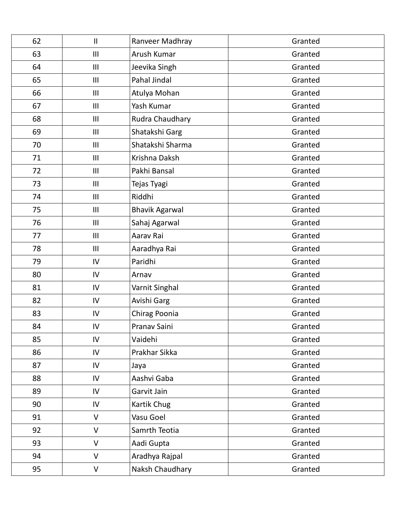| 62 | $\ensuremath{\mathsf{II}}$ | Ranveer Madhray       | Granted |
|----|----------------------------|-----------------------|---------|
| 63 | III                        | Arush Kumar           | Granted |
| 64 | $\mathbf{III}$             | Jeevika Singh         | Granted |
| 65 | III                        | Pahal Jindal          | Granted |
| 66 | III                        | Atulya Mohan          | Granted |
| 67 | III                        | Yash Kumar            | Granted |
| 68 | III                        | Rudra Chaudhary       | Granted |
| 69 | $\mathbf{III}$             | Shatakshi Garg        | Granted |
| 70 | III                        | Shatakshi Sharma      | Granted |
| 71 | III                        | Krishna Daksh         | Granted |
| 72 | $\mathbf{III}$             | Pakhi Bansal          | Granted |
| 73 | III                        | Tejas Tyagi           | Granted |
| 74 | III                        | Riddhi                | Granted |
| 75 | III                        | <b>Bhavik Agarwal</b> | Granted |
| 76 | $\mathbf{III}$             | Sahaj Agarwal         | Granted |
| 77 | $\mathbf{III}$             | Aarav Rai             | Granted |
| 78 | III                        | Aaradhya Rai          | Granted |
| 79 | IV                         | Paridhi               | Granted |
| 80 | IV                         | Arnav                 | Granted |
| 81 | IV                         | Varnit Singhal        | Granted |
| 82 | IV                         | Avishi Garg           | Granted |
| 83 | IV                         | Chirag Poonia         | Granted |
| 84 | IV                         | Pranav Saini          | Granted |
| 85 | IV                         | Vaidehi               | Granted |
| 86 | IV                         | Prakhar Sikka         | Granted |
| 87 | IV                         | Jaya                  | Granted |
| 88 | IV                         | Aashvi Gaba           | Granted |
| 89 | IV                         | Garvit Jain           | Granted |
| 90 | IV                         | Kartik Chug           | Granted |
| 91 | $\vee$                     | Vasu Goel             | Granted |
| 92 | $\vee$                     | Samrth Teotia         | Granted |
| 93 | V                          | Aadi Gupta            | Granted |
| 94 | V                          | Aradhya Rajpal        | Granted |
| 95 | V                          | Naksh Chaudhary       | Granted |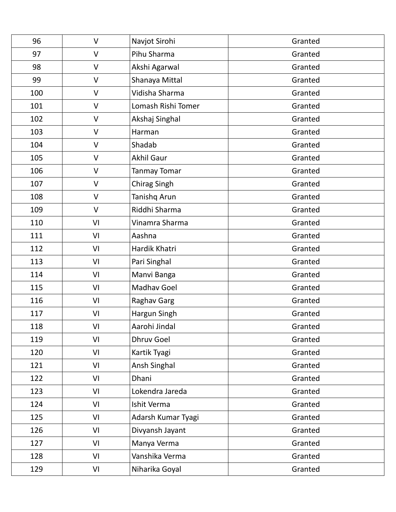| 96  | $\vee$       | Navjot Sirohi      | Granted |
|-----|--------------|--------------------|---------|
| 97  | $\vee$       | Pihu Sharma        | Granted |
| 98  | V            | Akshi Agarwal      | Granted |
| 99  | V            | Shanaya Mittal     | Granted |
| 100 | $\mathsf{V}$ | Vidisha Sharma     | Granted |
| 101 | $\mathsf{V}$ | Lomash Rishi Tomer | Granted |
| 102 | $\vee$       | Akshaj Singhal     | Granted |
| 103 | V            | Harman             | Granted |
| 104 | V            | Shadab             | Granted |
| 105 | $\vee$       | <b>Akhil Gaur</b>  | Granted |
| 106 | V            | Tanmay Tomar       | Granted |
| 107 | $\mathsf{V}$ | Chirag Singh       | Granted |
| 108 | $\vee$       | Tanishq Arun       | Granted |
| 109 | $\mathsf{V}$ | Riddhi Sharma      | Granted |
| 110 | VI           | Vinamra Sharma     | Granted |
| 111 | VI           | Aashna             | Granted |
| 112 | VI           | Hardik Khatri      | Granted |
| 113 | VI           | Pari Singhal       | Granted |
| 114 | VI           | Manvi Banga        | Granted |
| 115 | VI           | Madhav Goel        | Granted |
| 116 | VI           | Raghav Garg        | Granted |
| 117 | VI           | Hargun Singh       | Granted |
| 118 | VI           | Aarohi Jindal      | Granted |
| 119 | VI           | <b>Dhruv Goel</b>  | Granted |
| 120 | VI           | Kartik Tyagi       | Granted |
| 121 | VI           | Ansh Singhal       | Granted |
| 122 | VI           | Dhani              | Granted |
| 123 | VI           | Lokendra Jareda    | Granted |
| 124 | VI           | Ishit Verma        | Granted |
| 125 | VI           | Adarsh Kumar Tyagi | Granted |
| 126 | VI           | Divyansh Jayant    | Granted |
| 127 | VI           | Manya Verma        | Granted |
| 128 | VI           | Vanshika Verma     | Granted |
| 129 | VI           | Niharika Goyal     | Granted |